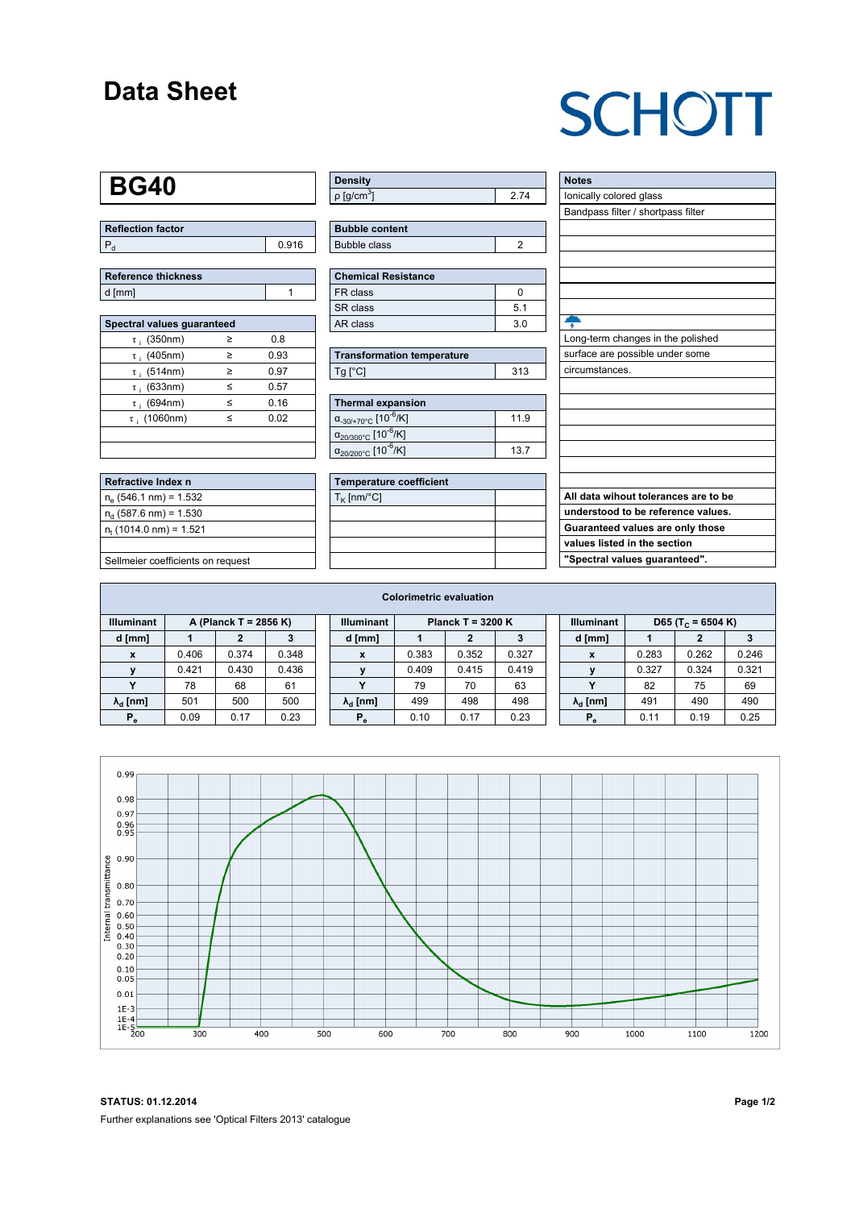### **Data Sheet**

# **SCHOTT**

#### **BG40**

| Reflection factor |       |
|-------------------|-------|
|                   | 0.916 |

| Reference thickness |  |
|---------------------|--|
| d [mm]              |  |

| Spectral values quaranteed |   |      |  |  |  |  |  |  |  |
|----------------------------|---|------|--|--|--|--|--|--|--|
| $\tau$ ; (350nm)           | ≥ | 0.8  |  |  |  |  |  |  |  |
| $\tau$ ; (405nm)           | ≥ | 0.93 |  |  |  |  |  |  |  |
| $\tau$ ; (514nm)           | > | 0.97 |  |  |  |  |  |  |  |
| $\tau$ ; (633nm)           | ≤ | 0.57 |  |  |  |  |  |  |  |
| $\tau$ ; (694nm)           | < | 0.16 |  |  |  |  |  |  |  |
| $\tau$ : (1060nm)          | < | 0.02 |  |  |  |  |  |  |  |
|                            |   |      |  |  |  |  |  |  |  |
|                            |   |      |  |  |  |  |  |  |  |

| Refractive Index n                |
|-----------------------------------|
| $n_e$ (546.1 nm) = 1.532          |
| $n_{d}$ (587.6 nm) = 1.530        |
| $n_{\rm t}$ (1014.0 nm) = 1.521   |
|                                   |
| Sellmeier coefficients on request |

| ∣ Density                   |  |
|-----------------------------|--|
| $\rho$ [g/cm <sup>3</sup> ] |  |

| <b>Bubble content</b> |  |
|-----------------------|--|
| Bubble class          |  |

| Chemical Resistance |     |  |  |  |  |  |  |
|---------------------|-----|--|--|--|--|--|--|
| FR class            |     |  |  |  |  |  |  |
| l SR class          | 51  |  |  |  |  |  |  |
| l AR class          | 3 O |  |  |  |  |  |  |

| <b>Transformation temperature</b> |     |  |  |  |  |
|-----------------------------------|-----|--|--|--|--|
| Ta [°C]                           | 313 |  |  |  |  |

| Thermal expansion                                 |      |  |  |  |  |  |  |
|---------------------------------------------------|------|--|--|--|--|--|--|
| $\alpha_{.30/+70\degree}$ c [10 <sup>-6</sup> /K] | 11.9 |  |  |  |  |  |  |
| $\alpha_{20/300^{\circ}C}$ [10 <sup>-6</sup> /K]  |      |  |  |  |  |  |  |
| $\alpha_{20/200^{\circ}C}$ [10 <sup>-6</sup> /K]  | 137  |  |  |  |  |  |  |

| <b>Temperature coefficient</b> |  |
|--------------------------------|--|
| $T_K$ [nm/°C]                  |  |
|                                |  |
|                                |  |
|                                |  |
|                                |  |

| <b>Notes</b>                         |
|--------------------------------------|
| lonically colored glass              |
| Bandpass filter / shortpass filter   |
|                                      |
|                                      |
|                                      |
|                                      |
|                                      |
|                                      |
|                                      |
| Long-term changes in the polished    |
| surface are possible under some      |
| circumstances.                       |
|                                      |
|                                      |
|                                      |
|                                      |
|                                      |
|                                      |
|                                      |
| All data wihout tolerances are to be |
| understood to be reference values.   |
| Guaranteed values are only those     |
| values listed in the section         |
| "Spectral values guaranteed".        |
|                                      |

| <b>Colorimetric evaluation</b> |                       |       |       |  |                        |                     |       |       |  |                        |                               |       |       |
|--------------------------------|-----------------------|-------|-------|--|------------------------|---------------------|-------|-------|--|------------------------|-------------------------------|-------|-------|
| <b>Illuminant</b>              | A (Planck T = 2856 K) |       |       |  | <b>Illuminant</b>      | Planck T = $3200 K$ |       |       |  | <b>Illuminant</b>      | D65 (T <sub>c</sub> = 6504 K) |       |       |
| d [mm]                         |                       |       |       |  | d [mm]                 |                     |       |       |  | d [mm]                 |                               |       |       |
| X                              | 0.406                 | 0.374 | 0.348 |  | x                      | 0.383               | 0.352 | 0.327 |  | X                      | 0.283                         | 0.262 | 0.246 |
|                                | 0.421                 | 0.430 | 0.436 |  |                        | 0.409               | 0.415 | 0.419 |  |                        | 0.327                         | 0.324 | 0.321 |
|                                | 78                    | 68    | 61    |  |                        | 79                  | 70    | 63    |  |                        | 82                            | 75    | 69    |
| $\lambda_{\rm d}$ [nm]         | 501                   | 500   | 500   |  | $\lambda_{\rm d}$ [nm] | 499                 | 498   | 498   |  | $\lambda_{\rm d}$ [nm] | 491                           | 490   | 490   |
| $P_e$                          | 0.09                  | 0.17  | 0.23  |  | $P_{\alpha}$           | 0.10                | 0.17  | 0.23  |  | P.                     | 0.11                          | 0.19  | 0.25  |
|                                |                       |       |       |  |                        |                     |       |       |  |                        |                               |       |       |



**STATUS: 01.12.2014 Page 1/2** Further explanations see 'Optical Filters 2013' catalogue